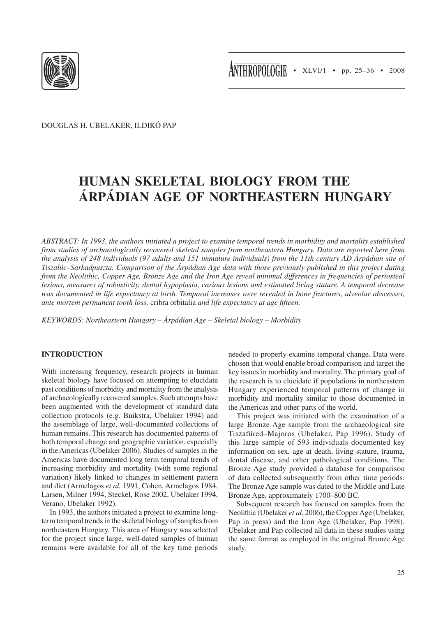

Douglas H. Ubelaker, Ildikó Pap

# **Human Skeletal Biology from the Árpádian Age of Northeastern Hungary**

*ABSTRACT: In 1993, the authors initiated a project to examine temporal trends in morbidity and mortality established from studies of archaeologically recovered skeletal samples from northeastern Hungary. Data are reported here from the analysis of 248 individuals (97 adults and 151 immature individuals) from the 11th century AD Árpádian site of Tiszalúc–Sarkadpuszta. Comparison of the Árpádian Age data with those previously published in this project dating from the Neolithic, Copper Age, Bronze Age and the Iron Age reveal minimal differences in frequencies of periosteal lesions, measures of robusticity, dental hypoplasia, carious lesions and estimated living stature. A temporal decrease was documented in life expectancy at birth. Temporal increases were revealed in bone fractures, alveolar abscesses, ante mortem permanent tooth loss,* cribra orbitalia *and life expectancy at age fifteen.*

*KEYWORDS: Northeastern Hungary – Árpádian Age – Skeletal biology – Morbidity*

# **INTRODUCTION**

With increasing frequency, research projects in human skeletal biology have focused on attempting to elucidate past conditions of morbidity and mortality from the analysis of archaeologically recovered samples. Such attempts have been augmented with the development of standard data collection protocols (e.g. Buikstra, Ubelaker 1994) and the assemblage of large, well-documented collections of human remains. This research has documented patterns of both temporal change and geographic variation, especially in the Americas (Ubelaker 2006). Studies of samples in the Americas have documented long term temporal trends of increasing morbidity and mortality (with some regional variation) likely linked to changes in settlement pattern and diet (Armelagos *et al.* 1991, Cohen, Armelagos 1984, Larsen, Milner 1994, Steckel, Rose 2002, Ubelaker 1994, Verano, Ubelaker 1992).

In 1993, the authors initiated a project to examine longterm temporal trends in the skeletal biology of samples from northeastern Hungary. This area of Hungary was selected for the project since large, well-dated samples of human remains were available for all of the key time periods needed to properly examine temporal change. Data were chosen that would enable broad comparison and target the key issues in morbidity and mortality. The primary goal of the research is to elucidate if populations in northeastern Hungary experienced temporal patterns of change in morbidity and mortality similar to those documented in the Americas and other parts of the world.

This project was initiated with the examination of a large Bronze Age sample from the archaeological site Tiszafüred–Majoros (Ubelaker, Pap 1996). Study of this large sample of 593 individuals documented key information on sex, age at death, living stature, trauma, dental disease, and other pathological conditions. The Bronze Age study provided a database for comparison of data collected subsequently from other time periods. The Bronze Age sample was dated to the Middle and Late Bronze Age, approximately 1700–800 BC.

Subsequent research has focused on samples from the Neolithic (Ubelaker *et al.* 2006), the Copper Age (Ubelaker, Pap in press) and the Iron Age (Ubelaker, Pap 1998). Ubelaker and Pap collected all data in these studies using the same format as employed in the original Bronze Age study.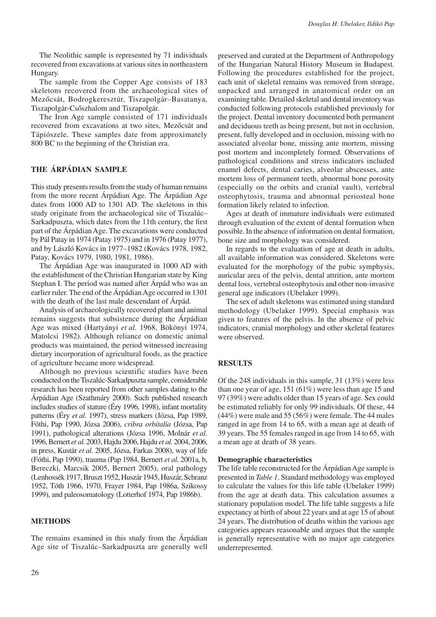The Neolithic sample is represented by 71 individuals recovered from excavations at various sites in northeastern Hungary.

The sample from the Copper Age consists of 183 skeletons recovered from the archaeological sites of Mezőcsát, Bodrogkeresztúr, Tiszapolgár–Basatanya, Tiszapolgár-Csőszhalom and Tiszapolgár.

The Iron Age sample consisted of 171 individuals recovered from excavations at two sites, Mezőcsát and Tápiószele. These samples date from approximately 800 BC to the beginning of the Christian era.

# **The Árpádian Sample**

This study presents results from the study of human remains from the more recent Árpádian Age. The Árpádian Age dates from 1000 AD to 1301 AD. The skeletons in this study originate from the archaeological site of Tiszalúc– Sarkadpuszta, which dates from the 11th century, the first part of the Árpádian Age. The excavations were conducted by Pál Patay in 1974 (Patay 1975) and in 1976 (Patay 1977), and by László Kovács in 1977–1982 (Kovács 1978, 1982, Patay, Kovács 1979, 1980, 1981, 1986).

The Árpádian Age was inaugurated in 1000 AD with the establishment of the Christian Hungarian state by King Stephan I. The period was named after Árpád who was an earlier ruler. The end of the Árpádian Age occurred in 1301 with the death of the last male descendant of Árpád.

Analysis of archaeologically recovered plant and animal remains suggests that subsistence during the Árpádian Age was mixed (Hartyányi *et al.* 1968, Bökönyi 1974, Matolcsi 1982). Although reliance on domestic animal products was maintained, the period witnessed increasing dietary incorporation of agricultural foods, as the practice of agriculture became more widespread.

Although no previous scientific studies have been conducted on the Tiszalúc-Sarkadpuszta sample, considerable research has been reported from other samples dating to the Árpádian Age (Szathmáry 2000). Such published research includes studies of stature (Éry 1996, 1998), infant mortality patterns (Éry *et al.* 1997), stress markers (Józsa, Pap 1989, Fóthi, Pap 1990, Józsa 2006), *cribra orbitalia* (Józsa, Pap 1991), pathological alterations (Józsa 1996, Molnár *et al.* 1996, Bernert *et al.* 2003, Hajdu 2006, Hajdu *et al.* 2004, 2006, in press, Kustár *et al.* 2005, Józsa, Farkas 2008), way of life (Fóthi, Pap 1990), trauma (Pap 1984, Bernert *et al.* 2001a, b, Bereczki, Marcsik 2005, Bernert 2005), oral pathology (Lenhossék 1917, Bruszt 1952, Huszár 1945, Huszár, Schranz 1952, Tóth 1966, 1970, Frayer 1984, Pap 1986a, Szikossy 1999), and paleosomatology (Lotterhof 1974, Pap 1986b).

## **METHODS**

The remains examined in this study from the Árpádian Age site of Tiszalúc–Sarkadpuszta are generally well

preserved and curated at the Department of Anthropology of the Hungarian Natural History Museum in Budapest. Following the procedures established for the project, each unit of skeletal remains was removed from storage, unpacked and arranged in anatomical order on an examining table. Detailed skeletal and dental inventory was conducted following protocols established previously for the project. Dental inventory documented both permanent and deciduous teeth as being present, but not in occlusion, present, fully developed and in occlusion, missing with no associated alveolar bone, missing ante mortem, missing post mortem and incompletely formed. Observations of pathological conditions and stress indicators included enamel defects, dental caries, alveolar abscesses, ante mortem loss of permanent teeth, abnormal bone porosity (especially on the orbits and cranial vault), vertebral osteophytosis, trauma and abnormal periosteal bone formation likely related to infection.

Ages at death of immature individuals were estimated through evaluation of the extent of dental formation when possible. In the absence of information on dental formation, bone size and morphology was considered.

In regards to the evaluation of age at death in adults, all available information was considered. Skeletons were evaluated for the morphology of the pubic symphysis, auricular area of the pelvis, dental attrition, ante mortem dental loss, vertebral osteophytosis and other non-invasive general age indicators (Ubelaker 1999).

The sex of adult skeletons was estimated using standard methodology (Ubelaker 1999). Special emphasis was given to features of the pelvis. In the absence of pelvic indicators, cranial morphology and other skeletal features were observed.

## **RESULTS**

Of the 248 individuals in this sample, 31 (13%) were less than one year of age, 151 (61%) were less than age 15 and 97 (39%) were adults older than 15 years of age. Sex could be estimated reliably for only 99 individuals. Of these, 44 (44%) were male and 55 (56%) were female. The 44 males ranged in age from 14 to 65, with a mean age at death of 39 years. The 55 females ranged in age from 14 to 65, with a mean age at death of 38 years.

#### **Demographic characteristics**

The life table reconstructed for the Árpádian Age sample is presented in *Table 1*. Standard methodology was employed to calculate the values for this life table (Ubelaker 1999) from the age at death data. This calculation assumes a stationary population model. The life table suggests a life expectancy at birth of about 22 years and at age 15 of about 24 years. The distribution of deaths within the various age categories appears reasonable and argues that the sample is generally representative with no major age categories underrepresented.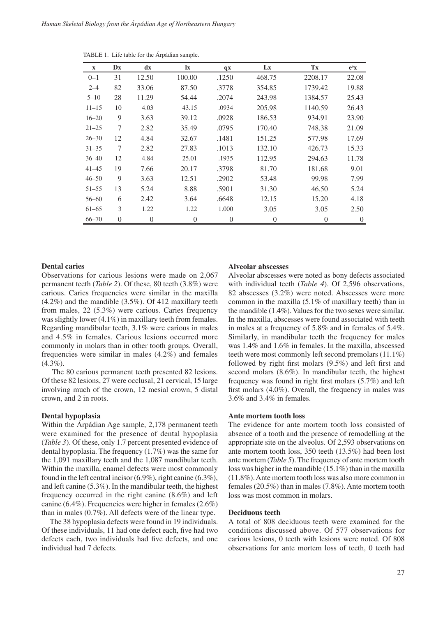| $\mathbf{X}$ | Dx       | $\mathbf{d} \mathbf{x}$ | $\mathbf{I}$ <b>x</b> | qx       | Lx       | Tx             | $e^{\mathrm{o}}x$ |
|--------------|----------|-------------------------|-----------------------|----------|----------|----------------|-------------------|
| $0 - 1$      | 31       | 12.50                   | 100.00                | .1250    | 468.75   | 2208.17        | 22.08             |
| $2 - 4$      | 82       | 33.06                   | 87.50                 | .3778    | 354.85   | 1739.42        | 19.88             |
| $5 - 10$     | 28       | 11.29                   | 54.44                 | .2074    | 243.98   | 1384.57        | 25.43             |
| $11 - 15$    | 10       | 4.03                    | 43.15                 | .0934    | 205.98   | 1140.59        | 26.43             |
| $16 - 20$    | 9        | 3.63                    | 39.12                 | .0928    | 186.53   | 934.91         | 23.90             |
| $21 - 25$    | 7        | 2.82                    | 35.49                 | .0795    | 170.40   | 748.38         | 21.09             |
| $26 - 30$    | 12       | 4.84                    | 32.67                 | .1481    | 151.25   | 577.98         | 17.69             |
| $31 - 35$    | 7        | 2.82                    | 27.83                 | .1013    | 132.10   | 426.73         | 15.33             |
| $36 - 40$    | 12       | 4.84                    | 25.01                 | .1935    | 112.95   | 294.63         | 11.78             |
| $41 - 45$    | 19       | 7.66                    | 20.17                 | .3798    | 81.70    | 181.68         | 9.01              |
| $46 - 50$    | 9        | 3.63                    | 12.51                 | .2902    | 53.48    | 99.98          | 7.99              |
| $51 - 55$    | 13       | 5.24                    | 8.88                  | .5901    | 31.30    | 46.50          | 5.24              |
| $56 - 60$    | 6        | 2.42                    | 3.64                  | .6648    | 12.15    | 15.20          | 4.18              |
| $61 - 65$    | 3        | 1.22                    | 1.22                  | 1.000    | 3.05     | 3.05           | 2.50              |
| $66 - 70$    | $\theta$ | $\overline{0}$          | $\overline{0}$        | $\Omega$ | $\theta$ | $\overline{0}$ | $\theta$          |

TABLE 1. Life table for the Árpádian sample.

#### **Dental caries**

Observations for carious lesions were made on 2,067 permanent teeth (*Table 2*). Of these, 80 teeth (3.8%) were carious. Caries frequencies were similar in the maxilla (4.2%) and the mandible (3.5%). Of 412 maxillary teeth from males, 22 (5.3%) were carious. Caries frequency was slightly lower (4.1%) in maxillary teeth from females. Regarding mandibular teeth, 3.1% were carious in males and 4.5% in females. Carious lesions occurred more commonly in molars than in other tooth groups. Overall, frequencies were similar in males (4.2%) and females (4.3%).

 The 80 carious permanent teeth presented 82 lesions. Of these 82 lesions, 27 were occlusal, 21 cervical, 15 large involving much of the crown, 12 mesial crown, 5 distal crown, and 2 in roots.

# **Dental hypoplasia**

Within the Árpádian Age sample, 2,178 permanent teeth were examined for the presence of dental hypoplasia (*Table 3*). Of these, only 1.7 percent presented evidence of dental hypoplasia. The frequency (1.7%) was the same for the 1,091 maxillary teeth and the 1,087 mandibular teeth. Within the maxilla, enamel defects were most commonly found in the left central incisor (6.9%), right canine (6.3%), and left canine (5.3%). In the mandibular teeth, the highest frequency occurred in the right canine (8.6%) and left canine (6.4%). Frequencies were higher in females (2.6%) than in males (0.7%). All defects were of the linear type.

The 38 hypoplasia defects were found in 19 individuals. Of these individuals, 11 had one defect each, five had two defects each, two individuals had five defects, and one individual had 7 defects.

#### **Alveolar abscesses**

Alveolar abscesses were noted as bony defects associated with individual teeth (*Table 4*). Of 2,596 observations, 82 abscesses (3.2%) were noted. Abscesses were more common in the maxilla (5.1% of maxillary teeth) than in the mandible (1.4%). Values for the two sexes were similar. In the maxilla, abscesses were found associated with teeth in males at a frequency of 5.8% and in females of 5.4%. Similarly, in mandibular teeth the frequency for males was 1.4% and 1.6% in females. In the maxilla, abscessed teeth were most commonly left second premolars (11.1%) followed by right first molars (9.5%) and left first and second molars (8.6%). In mandibular teeth, the highest frequency was found in right first molars (5.7%) and left first molars (4.0%). Overall, the frequency in males was 3.6% and 3.4% in females.

# **Ante mortem tooth loss**

The evidence for ante mortem tooth loss consisted of absence of a tooth and the presence of remodelling at the appropriate site on the alveolus. Of 2,593 observations on ante mortem tooth loss, 350 teeth (13.5%) had been lost ante mortem (*Table 5*). The frequency of ante mortem tooth loss was higher in the mandible (15.1%) than in the maxilla (11.8%). Ante mortem tooth loss was also more common in females (20.5%) than in males (7.8%). Ante mortem tooth loss was most common in molars.

# **Deciduous teeth**

A total of 808 deciduous teeth were examined for the conditions discussed above. Of 577 observations for carious lesions, 0 teeth with lesions were noted. Of 808 observations for ante mortem loss of teeth, 0 teeth had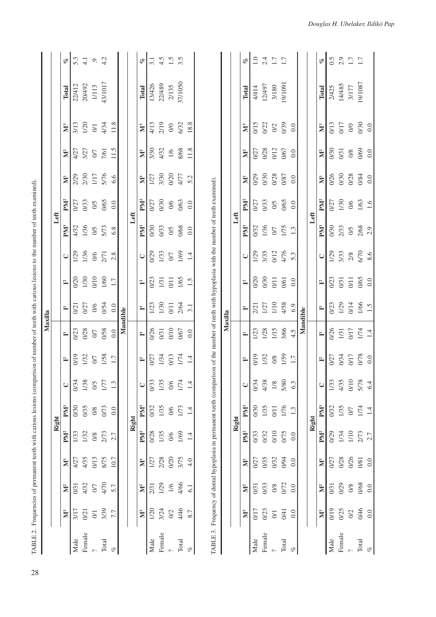|               |                         |                |                    |                 |                                                                                                                                                   |                |              | Maxilla      |              |              |               |                 |                 |                      |                    |                         |         |     |
|---------------|-------------------------|----------------|--------------------|-----------------|---------------------------------------------------------------------------------------------------------------------------------------------------|----------------|--------------|--------------|--------------|--------------|---------------|-----------------|-----------------|----------------------|--------------------|-------------------------|---------|-----|
|               |                         |                |                    |                 | Right                                                                                                                                             |                |              |              |              |              |               | Left            |                 |                      |                    |                         |         |     |
|               | $\sum_{i=1}^{n}$        | M <sup>2</sup> | $\bar{\bf k}$      | PM <sup>2</sup> | PM <sup>1</sup>                                                                                                                                   | $\cup$         | $\mathbf{r}$ | $\equiv$     | $\equiv$     | $\mathbf{r}$ | $\cup$        | PM <sup>1</sup> | PM <sup>2</sup> | $\bar{\mathbf{z}}$   | M <sup>2</sup>     | $\sum_{i=1}^{n}$        | Total   | olo |
| Male          | 3/17                    | 0/31           | 4/27               | 1/33            | 0/30                                                                                                                                              | 0/34           | 0/19         | 0/23         | 0/21         | 0/20         | 1/29          | 4/32            | 0/27            | 2/29                 | 4/27               | 3/13                    | 22/412  | 5.3 |
| Female        | $\overline{021}$        | 4/32           | 4/35               | 1/32            | 0/35                                                                                                                                              | 1/38           | 1/32         | 0/28         | 0/27         | 1/30         | 1/36          | 1/36            | 0/33            | 2/30                 | 3/27               | 1/20                    | 20/492  | 4.1 |
|               | $\overline{\mathrm{O}}$ | $0/7$          | O/13               | $0/8\,$         | $0/8$                                                                                                                                             | 5/0            | $\sqrt{2}$   | $\sqrt{2}$   | $0/6$        | $010\,$      |               |                 |                 | $1/17$               | $\sqrt{2}$         | $\overline{\mathrm{O}}$ | 1/113   | Ò.  |
| Total         | 3/39                    | 4/70           | 8/75               | 2/73            | 0/73                                                                                                                                              | 1/77           | 1/58         | 0/58         | 0/54         | 1/60         | $\frac{0}{6}$ | $\frac{0}{5}$   | 0/5<br>0/65     | 5/76                 | 7/61               | 4/34                    | 43/1017 | 4.2 |
| of            | 7.7                     | 5.7            | 10.7               | 2.7             | 0.0                                                                                                                                               | 1.3            | 1.7          | 0.0          | 0.0          | 1.7          | 2.8           | 6.8             | 0.0             | 6.6                  | 11.5               | 11.8                    |         |     |
|               |                         |                |                    |                 |                                                                                                                                                   |                |              | Mandible     |              |              |               |                 |                 |                      |                    |                         |         |     |
|               |                         |                |                    |                 | Right                                                                                                                                             |                |              |              |              |              |               | Left            |                 |                      |                    |                         |         |     |
|               | $\sum_{i=1}^{n}$        | $\mathbb{N}^2$ | $\bar{\mathbf{z}}$ | PM <sup>2</sup> | PM <sup>1</sup>                                                                                                                                   | $\cup$         | $\mathbb{L}$ | $\mathbb{I}$ | $\mathbb{L}$ | $\mathbf{L}$ | $\cup$        | PM <sup>1</sup> | PM <sup>2</sup> | $\tilde{\mathbf{z}}$ | $\sum_{}^{\infty}$ | $\sum_{i=1}^{n}$        | Total   | of  |
| Male          | 1/20                    | 2/31           | 1/27               | 0/28            | 0/32                                                                                                                                              | 0/33           | 0/27         | 0/26         | 1/23         | 0/23         | 0/29          | 0/30            | 0/27            | 1/27                 | 3/30               | 4/13                    | 13/426  | 3.1 |
| Female        | 3/24                    | 1/29           | 2/28               | 1/35            | 1/35                                                                                                                                              | 1/35           | 1/34         | 0/31         | 1/30         | 1/31         | 1/33          | 0/33            | 0/30            | 3/30                 | 4/32               | 2/19                    | 22/489  | 4.5 |
|               | $\Omega$                | $1/6$          | 0/20               | $0/6$           | $0/6$                                                                                                                                             | $0/6$          | O/13         | $0/10$       | $0/11$       | 0/11         | $0/7$         | $0/5$           | $0/6$           | 0/20                 | $1/6$              | $0/0$                   | 2/135   | 1.5 |
| Total         | 4/46                    | 4/66           | 3/75               | 1/69            | 1/73                                                                                                                                              | 1/74           | 1/74         | 0/67         | 2/64         | 1/65         | 1/69          | 0/68            | 0/63            | 4/77                 | 8/68               | 6/32                    | 37/1050 | 3.5 |
| $\mathcal{C}$ | 8.7                     | 6.1            | 4.0                | 1.4             | 1.4                                                                                                                                               | $\overline{1}$ | 1.4          | 0.0          | 3.1          | 1.5          | 1.4           | 0.0             | 0.0             | 5.2                  | 11.8               | 18.8                    |         |     |
|               |                         |                |                    |                 | TABLE 3. Frequency of dental hypoplasia in permanent teeth (comparison of the number of teeth with hypoplasia with the number of teeth examined). |                |              |              |              |              |               |                 |                 |                      |                    |                         |         |     |
|               |                         |                |                    |                 |                                                                                                                                                   |                |              | Maxilla      |              |              |               |                 |                 |                      |                    |                         |         |     |
|               |                         |                |                    |                 | Right                                                                                                                                             |                |              |              |              |              |               | Left            |                 |                      |                    |                         |         |     |
|               | $\sum_{i=1}^{n}$        | $\mathbb{M}^2$ | $\bar{\bf k}$      | $PM^2$          | PM <sup>1</sup>                                                                                                                                   | ں              | $\mathbb{L}$ | $\mathbb{L}$ | $\equiv$     | $\mathbf{r}$ | $\cup$        | PM <sup>1</sup> | PM <sup>2</sup> | $\bar{\mathbb{N}}$   | $\sum_{}^{\infty}$ | $\sum_{i=1}^{n}$        | Total   | of  |
| Male          | 0/17                    | 0/31           | 0/27               | 0/33            | 0/30                                                                                                                                              | 0/34           | 0/19         | 1/23         | 2/21         | 0/20         | 1/29          | 0/32            | 0/27            | 0/29                 | 0/27               | 0/15                    | 4/414   | 1.0 |
| Female        | 0/23                    | 0/33           | 0/35               | 0/32            | 1/35                                                                                                                                              | 4/38           | 1/32         | 1/28         | 1/27         | 0/30         | 3/35          | 1/36            | 0/33            | 0/30                 | 0/28               | 0/22                    | 12/497  | 2.4 |
|               | $\overline{0}$          | $0/8\,$        | 0/32               | 0/10            | 0/11                                                                                                                                              | $1\!\!/\!8$    | $0\%$        | 1/15         | 1/10         | 0/11         | 0/12          | $0/7$           | $0/5$           | 0/28                 | 0/12               | $\mathbb{S}^2$          | 3/180   | 1.7 |
| Total         | 0/41                    | 0/72           | 0/94               | 0/75            | 1/76                                                                                                                                              | 5/80           | 1/59         | 3/66         | 4/58         | 0/61         | 4/76          | 1/75            | 0/65            | 0/87                 | 0/67               | 0/39                    | 19/1091 | 1.7 |
| $\mathcal{C}$ | 0.0                     | 0.0            | 0.0                | 0.0             | 1.3                                                                                                                                               | 6.3            | $1.7\,$      | 4.5          | 6.9          | 0.0          | 5.3           | 1.3             | 0.0             | 0.0                  | 0.0                | 0.0                     |         |     |
|               |                         |                |                    |                 |                                                                                                                                                   |                |              | Mandible     |              |              |               |                 |                 |                      |                    |                         |         |     |
|               |                         |                |                    |                 | Right                                                                                                                                             |                |              |              |              |              |               | Left            |                 |                      |                    |                         |         |     |
|               | $\sum_{i=1}^{n}$        | $\sum_{}^2$    | $\bar{\mathbb{Z}}$ | PM <sup>2</sup> | PM <sup>1</sup>                                                                                                                                   | $\cup$         | $\mathbb{L}$ |              | Ē            | $\mathbf{L}$ | $\cup$        | PM <sup>1</sup> | PM <sup>2</sup> | $\tilde{\mathbf{z}}$ | $\sum_{}^{\infty}$ | $\sum_{i=1}^{n}$        | Total   | of  |

 $0.5$ <br> $2.9$ <br> $1.7$ <br> $1.7$ 

2/425<br>14/485<br>3/177<br>3/1087

 $\frac{0.0}{0.0}$ 

0/69<br>0/69

 $\frac{1}{6}$ 

2/33<br>0/5<br>2/68<br>2.9

 $\frac{1}{2}$ <br> $\frac{3}{3}$ <br> $\frac{3}{3}$ <br> $\frac{8}{6}$ <br> $\frac{6}{6}$ 

 $\frac{013}{017}$ 

0/30

0/31

0/26<br>0/30 0/28  $\frac{0.084}{0.0}$ 

0/30

0/27<br>1/30<br>0/6

Male 0/19 0/31 0/27 0/32 0/33 0/33 0/26 0/26 0/23 1/29 0/30 0/27 0/27 0/30 0/30 0/31 0/35 0.50 Female 0/25 0/29 0/28 1/34 1/35 4/35 0/34 1/31 1/29 0/31 3/33 2/33 1/30 0/30 0/31 0/17 14/485 2.9  0/2 0/8 0/26 1/10 0/7 0/10 0/17 0/17 0/14 0/11 2/8 0/5 0/6 0/28 0/8 0/0 3/177 1.7 Total 0/46 0/68 0/81 2/73 1/74 5/78 0/78 1/74 1/66 0/65 6/70 2/68 1/63 0/84 0/69 0/30 19/1087 1.7

0/23<br>1/29<br>0/14

0/26<br>1/31<br>0/17

0/27<br>0/34

0/32

0/29

0/27

0/31<br>0/29

023<br>031<br>071<br>065<br>06

0.0 0.0 0.0 2.7 1.4 6.4 0.0 1.4 1.5 0.0 8.6 2.9 1.6 0.0 0.0 0.0

 $\frac{1}{66}$ 

 $\frac{1}{74}$ 

0/17<br>870<br>0.0

 $\frac{5/78}{6.4}$ 

 $0/10$ 1/33<br>4/35

 $1/35$ <br> $0/7$ <br> $1/4$ <br> $1.4$ 

 $1/34$ <br> $1/10$ <br> $2/73$ <br> $2.7$ 

0/28<br>0/26<br>0/81

 $\frac{0.8}{0.08}$ 

Male<br>Female<br>?<br>Total

019<br>0/25<br>0/2<br>0.0<br>0.0

%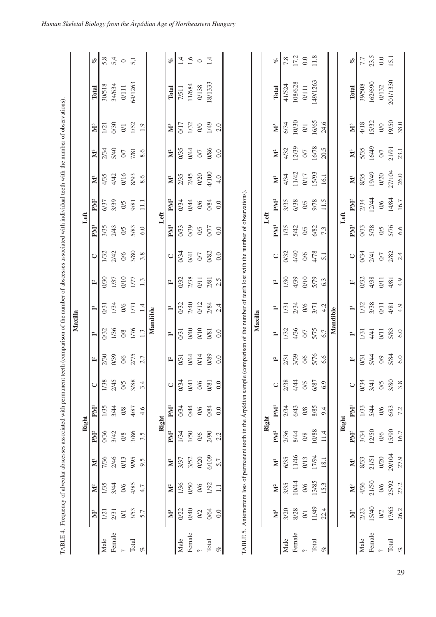|                               |                         |                |                    |                 |                                                                    |        |                                                                           | Maxilla  |              |                |                 |                 |                 |                    |                    |                  |              |                |
|-------------------------------|-------------------------|----------------|--------------------|-----------------|--------------------------------------------------------------------|--------|---------------------------------------------------------------------------|----------|--------------|----------------|-----------------|-----------------|-----------------|--------------------|--------------------|------------------|--------------|----------------|
|                               |                         |                |                    |                 | Right                                                              |        |                                                                           |          |              |                |                 | Left            |                 |                    |                    |                  |              |                |
|                               | $\sum_{i=1}^{n}$        | $\sum_{}^2$    | $\bar{\mathbb{Z}}$ | PM <sup>2</sup> | PM <sup>1</sup>                                                    | $\cup$ | $\mathbf{r}$                                                              | Ē        | Ē            | $\mathbf{r}$   | $\cup$          | PM <sup>1</sup> | PM <sup>2</sup> | $\bar{\mathbf{z}}$ | $\sum_{}^{\infty}$ | $\sum_{i=1}^{n}$ | Total        | o              |
| Male                          | $\overline{2}$          | 1/35           | 7/36               | 0/36            | 1/35                                                               | 1/38   | 2/30                                                                      | 0/32     | 0/31         | 0/30           | 1/32            | 3/35            | 6/37            | 4/35               | 2/34               | 1/21             | 30/518       | 5,8            |
| Female                        | 2/31                    | 3/44           | 2/46               | 3/42            | 3/44                                                               | 2/45   | 0/39                                                                      | 1/36     | 1/34         | 1/37           | 2/42            | 2/43            | 3/39            | 4/42               | 5/40               | 0/30             | 34/634       | 5,4            |
|                               | $\overline{\mathrm{O}}$ | $0/6$          | 0/13               | $0\!\!\!/\,8$   | $0\!\!\!/\,8$                                                      | O/5    | $9/0$                                                                     | $0/8$    | $0/6$        | 0/10           | $0/6$           | $0/5$           | $0/5$           | 0/16               | $\sqrt{2}$         | $\Im$            | $0/111$      | $\overline{5}$ |
| Total                         | 3/53                    | 4/85           | 9/95               | 3/86            | 4/87                                                               | 3/88   | 2/75                                                                      | 1/76     | 1/71         | 1/7            | 3/80            | 5/83            | 9/81            | 8/93               | 7/81               | 1/52             | 64/1263      |                |
| of                            | 5.7                     | 4.7            | 9.5                | 3.5             | 4.6                                                                | 3.4    | 2.7                                                                       | 1.3      | 1.4          | 1.3            | 3.8             | 6.0             | $\Xi$           | 8.6                | 8.6                | 1.9              |              |                |
|                               |                         |                |                    |                 |                                                                    |        |                                                                           | Mandible |              |                |                 |                 |                 |                    |                    |                  |              |                |
|                               |                         |                |                    |                 | Right                                                              |        |                                                                           |          |              |                |                 | Left            |                 |                    |                    |                  |              |                |
|                               | $\sum_{i=1}^{n}$        | $\mathbb{M}^2$ | $\bar{\bf k}$      | PM <sup>2</sup> | PM <sup>1</sup>                                                    | $\cup$ | $\mathbf{r}$                                                              | $\Xi$    | $\mathbb{I}$ | $\mathbf{r}$   | $\cup$          | PN <sup>1</sup> | PM <sup>2</sup> | $\bar{\mathbf{z}}$ | $\mathbb{N}^2$     | $\sum_{i=1}^{n}$ | <b>Total</b> | of             |
| Male                          | 0/22                    | 1/36           | 3/37               | 1/34            | 0/34                                                               | 0/34   | $\overline{0}$                                                            | 0/31     | 0/32         | 0/32           | 0/34            | 0/33            | 0/34            | 2/35               | 0/35               | 0/17             | 7/511        | $\vec{r}$      |
| Female                        | 0/40                    | 0/50           | 3/52               | 1/50            | 0/44                                                               | 0/41   | 0/44                                                                      | 0/40     | 2/40         | 2/38           | 0/41            | 0/39            | 0/44            | 2/45               | 0/44               | 1/32             | 11/684       | 1,6            |
|                               | $0/2$                   | 0/6            | 0/20               | 0/6             | 0/6                                                                | 0/6    | 0/14                                                                      | 0/10     | 0/12         | $\overline{0}$ | $0/7$           | 0/5             | $0/6$           | 0/20               | $0/7$              | $\sqrt{0}$       | 0/138        | $\circ$        |
| Total                         | 0/64                    | 1/92           | 6/109              | 2/90            | 0/84                                                               | 0/81   | 0/89                                                                      | 0/81     | 2/84         | 2/81           | 0/82            | 0/77            | 0/84            | 4/100              | 0/86               | 1/49             | 18/1333      | 1,4            |
| $\mathcal{C}^{\mathcal{C}}_O$ | 0.0                     | $\Box$         | 5.7                | 2.2             | 0.0                                                                | 0.0    | 0.0                                                                       | 0.0      | 2.4          | 2.5            | 0.0             | 0.0             | 0.0             | 4.0                | 0.0                | 2.0              |              |                |
|                               |                         |                |                    |                 | TABLE 5. Antemortem loss of permanent teeth in the Arpádian sample |        | (comparison of the number of teeth lost with the number of observations). |          |              |                |                 |                 |                 |                    |                    |                  |              |                |
|                               |                         |                |                    |                 |                                                                    |        |                                                                           | Maxilla  |              |                |                 |                 |                 |                    |                    |                  |              |                |
|                               |                         |                |                    |                 | Right                                                              |        |                                                                           |          |              |                |                 | Left            |                 |                    |                    |                  |              |                |
|                               | $\sum_{i=1}^{n}$        | M <sup>2</sup> | $\bar{\bf k}$      | PM <sup>2</sup> | PM <sup>1</sup>                                                    | $\cup$ | $\mathbf{r}$                                                              | $\equiv$ | $\equiv$     | $\mathbf{r}$   | $\cup$          | PN <sup>1</sup> | PM <sup>2</sup> | $\bar{\mathbf{z}}$ | $\mathbb{N}^2$     | $\sum_{i=1}^{n}$ | Total        | of             |
| Male                          | 3/20                    | 3/35           | 6/35               | 2/36            | 2/34                                                               | 2/38   | 2/31                                                                      | 1/32     | 1/31         | 1/30           | 0/32            | 1/35            | 3/35            | 4/34               | 4/32               | 6/34             | 41/524       | 7.8            |
| Female                        | 8/28                    | 10/44          | 11/46              | 8/44            | 6/43                                                               | 4/44   | 3/39                                                                      | 4/36     | 2/34         | 4/39           | 4/40            | 5/42            | 6/38            | 11/42              | 12/39              | 10/30            | 108/628      | 17.2           |
|                               | $\overline{0}$          | $0/6$          | 0/13               | 0/8             | 0/8                                                                | 0/5    | 0/6                                                                       | 0/7      | 0/6          | 0/10           | 0/6             | 0/5             | 0/5             | 0/17               | $0/7$              | $\overline{0}$   | $0/111$      | $0.0\,$        |
| Total                         | 11/49                   | 13/85          | 17/94              | 10/88           | 8/85                                                               | 6/87   | 5/76                                                                      | 5/75     | 3/71         | 5/79           | 4/78            | 6/82            | 9/78            | 15/93              | 16/78              | 16/65            | 149/1263     | 11.8           |
| $\mathcal{C}$                 | 22.4                    | 15.3           | 18.1               | 11.4            | 9.4                                                                | 6.9    | 6.6                                                                       | 6.7      | 4.2          | 6.3            | $\overline{51}$ | 7.3             | 11.5            | 16.1               | 20.5               | 24.6             |              |                |
|                               |                         |                |                    |                 |                                                                    |        |                                                                           | Mandible |              |                |                 |                 |                 |                    |                    |                  |              |                |

%

?

**Right Left**

**M3 M2 M1 PM2 PM1 C I2 I1 I1 I2 C PM1 PM2 M1 M2 M3 Total %**

 $\mathbb{L}$ 

 $\mathbb{L}$ 

 $\mathbb{L}$ 

 $\cup$ 

 ${\bf P}{\bf M}^1$ 1/33 5/44  $0/6$ 6/83 72

 $PM^2$ 

 $\bar{\mathbf{z}}$ 

 $\overline{\text{Right}}$ 

 $\mathbb{L}$ 

Male 2/23 4/36 8/33 3/34 1/33 0/34 0/31 1/31 1/32 0/32 0/34 0/33 2/34 8/35 5/35 4/18 39/508 7.7 Female 15/40 21/50 21/51 12/50 5/44 3/41 5/44 4/41 3/38 4/38 2/41 5/38 12/44 19/49 16/49 15/32 162/690 23.5

1/32 3/38  $0/11$ 4/81

1/31

0/31

0/34

0/34

 $2/41$  $\overline{O}$ 

4/38 0/32

> 4/41  $0/11$

5/44

3/41

12/50

21/50

15/40

Female Male

3/34

8/33 21/51 0/20

4/36  $M<sup>2</sup>$ 

2/23  $\mathbb{N}^3$ 

 $\infty$ 

 $0/5$ 

23.5

7.7 olo

39/508<br>162/690

15/32

16/49 5/35

19/49

12/44 2/34

4/18

Total

 $\mathbf{\tilde{M}}^{3}$ 

 $\mathbb{N}^2$ 

 $\bar{\mathbf{z}}$ 8/35

 ${\bf P}{\bf M}^2$ 

 ${\bf P}{\bf M}^1$  $\sqrt{0.33}$ 5/38 0/5<br>5/76 6.6

 $\cup$ 

Left

15.1  $_{0.0}$ 

201/1330

19/50

21/91

27/104

4/84  $0/6$ 

2/82

4/81  $49$ 

5/83

5/84

 $3/80$ 

15/90

29/104

25/92

17/65

Total

 $0/6$ 

 $O<sup>2</sup>$ 

16.7

27.9

27.2

26.2

 $0/6$ 

 $\frac{4}{3}$ 

38.0

23.1

26.0

16.7

0/132

 $\infty$ 

 $\overline{O}$ 

0/20

 0/2 0/6 0/20 0/6 0/6 0/5 0/9 0/11 0/11 0/11 0/7 0/5 0/6 0/20 0/7 0/0 0/132 0.0 Total 17/65 25/92 29/104 15/90 6/83 3/80 5/84 5/83 4/81 4/81 2/82 5/76 14/84 27/104 21/91 19/50 201/1330 15.1

 $0/11$ 

26,2 27.2 27.9 16.7 7.2 3.8 6.0 6.0 4.9 4.9 2.4 6.6 16.7 26.0 23.1 38.0

6.0

 $\frac{\alpha}{2}$ 

6.0

 $\frac{4}{9}$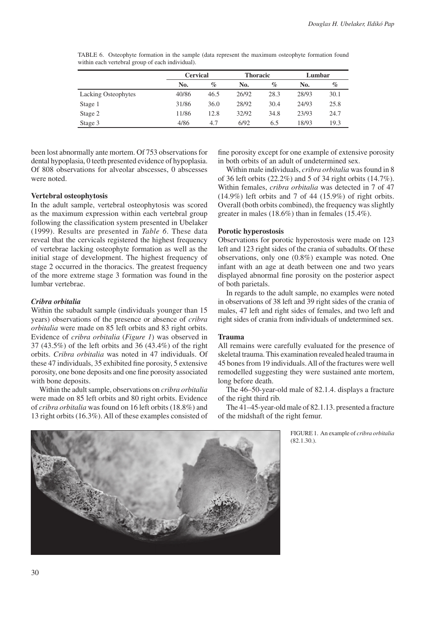|                            | <b>Cervical</b> |      | <b>Thoracic</b> |      | Lumbar |      |
|----------------------------|-----------------|------|-----------------|------|--------|------|
|                            | No.             | $\%$ | No.             | $\%$ | No.    | $\%$ |
| <b>Lacking Osteophytes</b> | 40/86           | 46.5 | 26/92           | 28.3 | 28/93  | 30.1 |
| Stage 1                    | 31/86           | 36.0 | 28/92           | 30.4 | 24/93  | 25.8 |
| Stage 2                    | 11/86           | 12.8 | 32/92           | 34.8 | 23/93  | 24.7 |
| Stage 3                    | 4/86            | 4.7  | 6/92            | 6.5  | 18/93  | 19.3 |

TABLE 6. Osteophyte formation in the sample (data represent the maximum osteophyte formation found within each vertebral group of each individual).

been lost abnormally ante mortem. Of 753 observations for dental hypoplasia, 0 teeth presented evidence of hypoplasia. Of 808 observations for alveolar abscesses, 0 abscesses were noted.

# **Vertebral osteophytosis**

In the adult sample, vertebral osteophytosis was scored as the maximum expression within each vertebral group following the classification system presented in Ubelaker (1999). Results are presented in *Table 6*. These data reveal that the cervicals registered the highest frequency of vertebrae lacking osteophyte formation as well as the initial stage of development. The highest frequency of stage 2 occurred in the thoracics. The greatest frequency of the more extreme stage 3 formation was found in the lumbar vertebrae.

#### *Cribra orbitalia*

Within the subadult sample (individuals younger than 15 years) observations of the presence or absence of *cribra orbitalia* were made on 85 left orbits and 83 right orbits. Evidence of *cribra orbitalia* (*Figure 1*) was observed in 37 (43.5%) of the left orbits and 36 (43.4%) of the right orbits. *Cribra orbitalia* was noted in 47 individuals. Of these 47 individuals, 35 exhibited fine porosity, 5 extensive porosity, one bone deposits and one fine porosity associated with bone deposits.

Within the adult sample, observations on *cribra orbitalia* were made on 85 left orbits and 80 right orbits. Evidence of *cribra orbitalia* was found on 16 left orbits (18.8%) and 13 right orbits (16.3%). All of these examples consisted of fine porosity except for one example of extensive porosity in both orbits of an adult of undetermined sex.

Within male individuals, *cribra orbitalia* was found in 8 of 36 left orbits (22.2%) and 5 of 34 right orbits (14.7%). Within females, *cribra orbitalia* was detected in 7 of 47 (14.9%) left orbits and 7 of 44 (15.9%) of right orbits. Overall (both orbits combined), the frequency was slightly greater in males (18.6%) than in females (15.4%).

#### **Porotic hyperostosis**

Observations for porotic hyperostosis were made on 123 left and 123 right sides of the crania of subadults. Of these observations, only one (0.8%) example was noted. One infant with an age at death between one and two years displayed abnormal fine porosity on the posterior aspect of both parietals.

In regards to the adult sample, no examples were noted in observations of 38 left and 39 right sides of the crania of males, 47 left and right sides of females, and two left and right sides of crania from individuals of undetermined sex.

# **Trauma**

All remains were carefully evaluated for the presence of skeletal trauma. This examination revealed healed trauma in 45 bones from 19 individuals. All of the fractures were well remodelled suggesting they were sustained ante mortem, long before death.

The 46–50-year-old male of 82.1.4. displays a fracture of the right third rib.

The 41–45-year-old male of 82.1.13. presented a fracture of the midshaft of the right femur.

> Figure 1. An example of *cribra orbitalia* (82.1.30.).

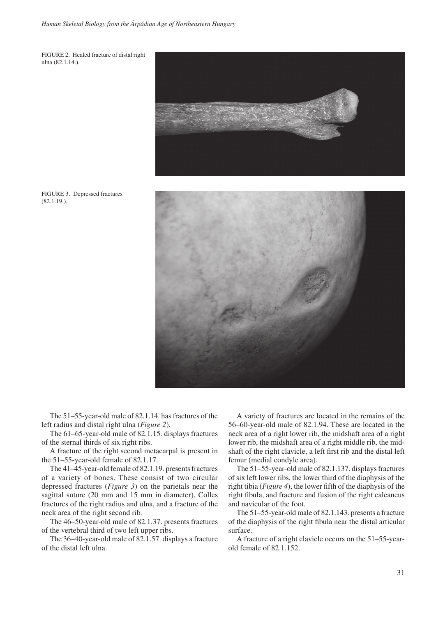FIGURE 2. Healed fracture of distal right ulna (82.1.14.).



FIGURE 3. Depressed fractures (82.1.19.).



The 51–55-year-old male of 82.1.14. has fractures of the left radius and distal right ulna (*Figure 2*).

The 61–65-year-old male of 82.1.15. displays fractures of the sternal thirds of six right ribs.

A fracture of the right second metacarpal is present in the 51–55-year-old female of 82.1.17.

The 41–45-year-old female of 82.1.19. presents fractures of a variety of bones. These consist of two circular depressed fractures (*Figure 3*) on the parietals near the sagittal suture (20 mm and 15 mm in diameter), Colles fractures of the right radius and ulna, and a fracture of the neck area of the right second rib.

The 46–50-year-old male of 82.1.37. presents fractures of the vertebral third of two left upper ribs.

The 36–40-year-old male of 82.1.57. displays a fracture of the distal left ulna.

A variety of fractures are located in the remains of the 56–60-year-old male of 82.1.94. These are located in the neck area of a right lower rib, the midshaft area of a right lower rib, the midshaft area of a right middle rib, the midshaft of the right clavicle, a left first rib and the distal left femur (medial condyle area).

The 51–55-year-old male of 82.1.137. displays fractures of six left lower ribs, the lower third of the diaphysis of the right tibia (*Figure 4*), the lower fifth of the diaphysis of the right fibula, and fracture and fusion of the right calcaneus and navicular of the foot.

The 51–55-year-old male of 82.1.143. presents a fracture of the diaphysis of the right fibula near the distal articular surface.

A fracture of a right clavicle occurs on the 51–55-yearold female of 82.1.152.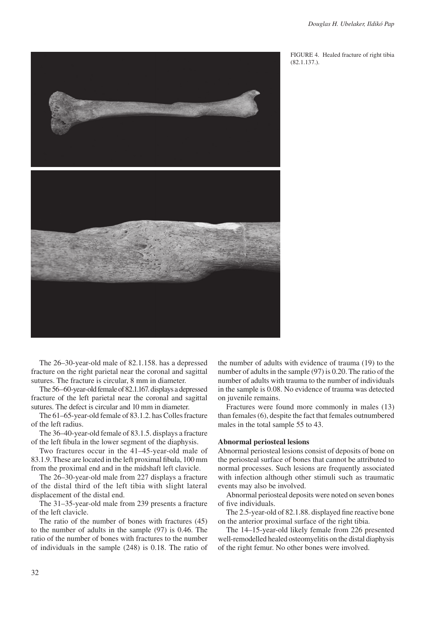

FIGURE 4. Healed fracture of right tibia (82.1.137.).

The 26–30-year-old male of 82.1.158. has a depressed fracture on the right parietal near the coronal and sagittal sutures. The fracture is circular, 8 mm in diameter.

The 56–60-year-old female of 82.1.167. displays a depressed fracture of the left parietal near the coronal and sagittal sutures. The defect is circular and 10 mm in diameter.

The 61–65-year-old female of 83.1.2. has Colles fracture of the left radius.

The 36–40-year-old female of 83.1.5. displays a fracture of the left fibula in the lower segment of the diaphysis.

Two fractures occur in the 41–45-year-old male of 83.1.9. These are located in the left proximal fibula, 100 mm from the proximal end and in the midshaft left clavicle.

The 26–30-year-old male from 227 displays a fracture of the distal third of the left tibia with slight lateral displacement of the distal end.

The 31–35-year-old male from 239 presents a fracture of the left clavicle.

The ratio of the number of bones with fractures (45) to the number of adults in the sample (97) is 0.46. The ratio of the number of bones with fractures to the number of individuals in the sample (248) is 0.18. The ratio of the number of adults with evidence of trauma (19) to the number of adults in the sample (97) is 0.20. The ratio of the number of adults with trauma to the number of individuals in the sample is 0.08. No evidence of trauma was detected on juvenile remains.

Fractures were found more commonly in males (13) than females (6), despite the fact that females outnumbered males in the total sample 55 to 43.

## **Abnormal periosteal lesions**

Abnormal periosteal lesions consist of deposits of bone on the periosteal surface of bones that cannot be attributed to normal processes. Such lesions are frequently associated with infection although other stimuli such as traumatic events may also be involved.

Abnormal periosteal deposits were noted on seven bones of five individuals.

The 2.5-year-old of 82.1.88. displayed fine reactive bone on the anterior proximal surface of the right tibia.

The 14–15-year-old likely female from 226 presented well-remodelled healed osteomyelitis on the distal diaphysis of the right femur. No other bones were involved.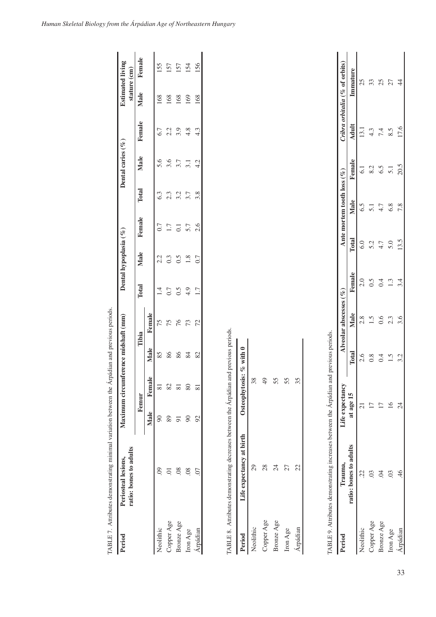| Period     | ratio: bones to adults<br>Periosteal lesions, |                | Maximum circumference midshaft (mm) |              |        |           | Dental hypoplasia (%) |                  |       | Dental caries $(\%$ |        |      | <b>Estimated living</b><br>stature (cm) |
|------------|-----------------------------------------------|----------------|-------------------------------------|--------------|--------|-----------|-----------------------|------------------|-------|---------------------|--------|------|-----------------------------------------|
|            |                                               |                | Femur                               |              | Tibia  | Total     | Male                  | Female           | Total | Male                | Female | Male | Female                                  |
|            |                                               | Male           | Female                              | Male         | Female |           |                       |                  |       |                     |        |      |                                         |
| Neolithic  | $\odot$                                       | $\infty$       | $\overline{8}$                      | 85           | 75     | $\vec{=}$ | 2.2                   | 0.7              | 6.3   | 5.6                 | 6.7    | 168  | 155                                     |
| Copper Age | S.                                            | 89             | 82                                  | 86           | 75     | $0.7\,$   | 0.3                   | 1.7              | 2.3   | 3.6                 | 2.2    | 168  | 157                                     |
| Bronze Age | $\overline{0}$                                | $\overline{5}$ | $\overline{81}$                     | 86           | 76     | 6.5       | 0.5                   | $\overline{0}$ . | 3.2   | 3.7                 | 3.9    | 168  | 157                                     |
| Iron Age   | 08                                            | $90\,$         | $80\,$                              | 84           | 73     | 4.9       | 1.8                   | 5.7              | 3.7   | 3.1                 | 4.8    | 169  | 154                                     |
| Arpádian   | 07                                            | 92             | $\overline{81}$                     | 82           | 72     | 1.7       | 0.7                   | 2.6              | 3.8   | 4.2                 | 4.3    | 168  | 156                                     |
| Period     | Life expectancy at birth                      |                | Osteophytosis:                      | $%$ with $0$ |        |           |                       |                  |       |                     |        |      |                                         |
| Neolithic  | 29                                            |                | 38                                  |              |        |           |                       |                  |       |                     |        |      |                                         |
| Copper Age | 28                                            |                | 49                                  |              |        |           |                       |                  |       |                     |        |      |                                         |
| Bronze Age | $\overline{24}$                               |                | 55                                  |              |        |           |                       |                  |       |                     |        |      |                                         |
| Iron Age   | 27                                            |                | 55                                  |              |        |           |                       |                  |       |                     |        |      |                                         |
| Árpádian   | 22                                            |                | 35                                  |              |        |           |                       |                  |       |                     |        |      |                                         |

*Human Skeletal Biology from the Árpádian Age of Northeastern Hungary*

| Period     | Trauma,                | Life expectancy |     | Alveolar abscesses $(%$ |        |       | Ante mortem tooth loss $(%$ |        |                 | Tribra orbitalia (% of orbits) |
|------------|------------------------|-----------------|-----|-------------------------|--------|-------|-----------------------------|--------|-----------------|--------------------------------|
|            | ratio: bones to adults | at age 15       |     | Male                    | Female | Total | Male                        | Female | Adult           | mmature                        |
| leolithic  |                        |                 |     | $\frac{8}{2}$           | 2.0    | 6.0   | 6.5                         | ಪ      | 13.1            | 25                             |
| Copper Age |                        |                 |     |                         |        | 52    |                             | 8.2    | 4.3             | 33                             |
| sronze Age |                        |                 | 0.4 | 0.6                     | 0.4    | 4.7   | 4.7                         | 6.5    |                 |                                |
| ron Age    |                        | 으               | 1.5 | 2.3                     |        | 5.0   | 6.8                         | 5.1    | $7.\frac{3}{5}$ | 254                            |
| rpádian    |                        |                 | 3.2 | 3.6                     | 3.4    | 13.5  | 7.8                         | 20.5   | 17.6            |                                |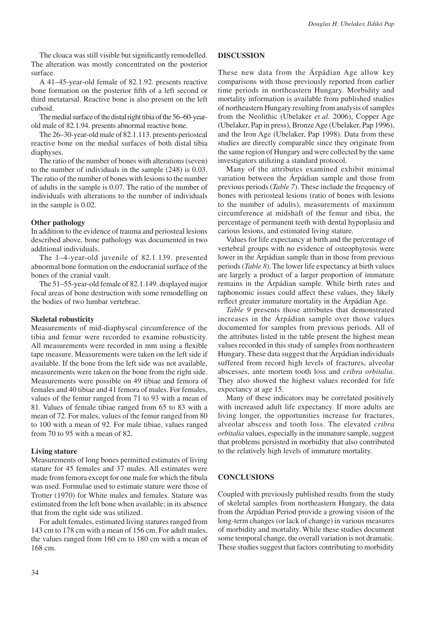The cloaca was still visible but significantly remodelled. The alteration was mostly concentrated on the posterior surface.

A 41–45-year-old female of 82.1.92. presents reactive bone formation on the posterior fifth of a left second or third metatarsal. Reactive bone is also present on the left cuboid.

The medial surface of the distal right tibia of the 56–60-yearold male of 82.1.94. presents abnormal reactive bone.

The 26–30-year-old male of 82.1.113. presents periosteal reactive bone on the medial surfaces of both distal tibia diaphyses.

The ratio of the number of bones with alterations (seven) to the number of individuals in the sample (248) is 0.03. The ratio of the number of bones with lesions to the number of adults in the sample is 0.07. The ratio of the number of individuals with alterations to the number of individuals in the sample is 0.02.

# **Other pathology**

In addition to the evidence of trauma and periosteal lesions described above, bone pathology was documented in two additional individuals.

The 1–4-year-old juvenile of 82.1.139. presented abnormal bone formation on the endocranial surface of the bones of the cranial vault.

The 51–55-year-old female of 82.1.149. displayed major focal areas of bone destruction with some remodelling on the bodies of two lumbar vertebrae.

## **Skeletal robusticity**

Measurements of mid-diaphyseal circumference of the tibia and femur were recorded to examine robusticity. All measurements were recorded in mm using a flexible tape measure. Measurements were taken on the left side if available. If the bone from the left side was not available, measurements were taken on the bone from the right side. Measurements were possible on 49 tibiae and femora of females and 40 tibiae and 41 femora of males. For females, values of the femur ranged from 71 to 93 with a mean of 81. Values of female tibiae ranged from 65 to 83 with a mean of 72. For males, values of the femur ranged from 80 to 100 with a mean of 92. For male tibiae, values ranged from 70 to 95 with a mean of 82.

#### **Living stature**

Measurements of long bones permitted estimates of living stature for 45 females and 37 males. All estimates were made from femora except for one male for which the fibula was used. Formulae used to estimate stature were those of Trotter (1970) for White males and females. Stature was estimated from the left bone when available; in its absence that from the right side was utilized.

For adult females, estimated living statures ranged from 143 cm to 178 cm with a mean of 156 cm. For adult males, the values ranged from 160 cm to 180 cm with a mean of 168 cm.

# **DISCUSSION**

These new data from the Árpádian Age allow key comparisons with those previously reported from earlier time periods in northeastern Hungary. Morbidity and mortality information is available from published studies of northeastern Hungary resulting from analysis of samples from the Neolithic (Ubelaker *et al.* 2006), Copper Age (Ubelaker, Pap in press), Bronze Age (Ubelaker, Pap 1996), and the Iron Age (Ubelaker, Pap 1998). Data from these studies are directly comparable since they originate from the same region of Hungary and were collected by the same investigators utilizing a standard protocol.

Many of the attributes examined exhibit minimal variation between the Árpádian sample and those from previous periods (*Table 7*). These include the frequency of bones with periosteal lesions (ratio of bones with lesions to the number of adults), measurements of maximum circumference at midshaft of the femur and tibia, the percentage of permanent teeth with dental hypoplasia and carious lesions, and estimated living stature.

Values for life expectancy at birth and the percentage of vertebral groups with no evidence of osteophytosis were lower in the Árpádian sample than in those from previous periods (*Table 8*). The lower life expectancy at birth values are largely a product of a larger proportion of immature remains in the Árpádian sample. While birth rates and taphonomic issues could affect these values, they likely reflect greater immature mortality in the Árpádian Age.

*Table 9* presents those attributes that demonstrated increases in the Árpádian sample over those values documented for samples from previous periods. All of the attributes listed in the table present the highest mean values recorded in this study of samples from northeastern Hungary. These data suggest that the Árpádian individuals suffered from record high levels of fractures, alveolar abscesses, ante mortem tooth loss and *cribra orbitalia*. They also showed the highest values recorded for life expectancy at age 15.

Many of these indicators may be correlated positively with increased adult life expectancy. If more adults are living longer, the opportunities increase for fractures, alveolar abscess and tooth loss. The elevated *cribra orbitalia* values, especially in the immature sample, suggest that problems persisted in morbidity that also contributed to the relatively high levels of immature mortality.

## **CONCLUSIONS**

Coupled with previously published results from the study of skeletal samples from northeastern Hungary, the data from the Árpádian Period provide a growing vision of the long-term changes (or lack of change) in various measures of morbidity and mortality. While these studies document some temporal change, the overall variation is not dramatic. These studies suggest that factors contributing to morbidity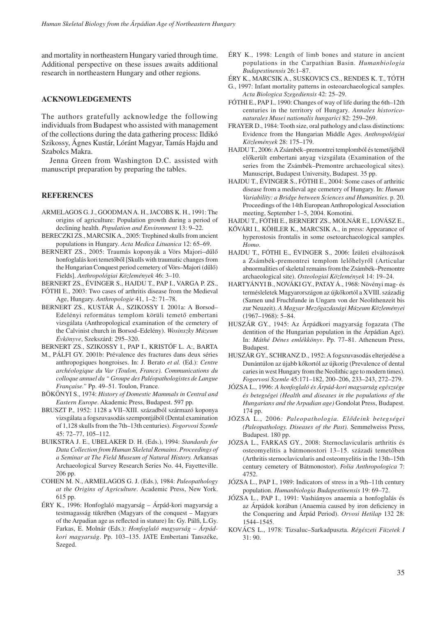and mortality in northeastern Hungary varied through time. Additional perspective on these issues awaits additional research in northeastern Hungary and other regions.

# **ACKNOWLEDGEMENTS**

The authors gratefully acknowledge the following individuals from Budapest who assisted with management of the collections during the data gathering process: Ildikó Szikossy, Ágnes Kustár, Lóránt Magyar, Tamás Hajdu and Szabolcs Makra.

Jenna Green from Washington D.C. assisted with manuscript preparation by preparing the tables.

# **REFERENCES**

- ARMELAGOS G. J., GOODMANA. H., JACOBS K. H., 1991: The origins of agriculture: Population growth during a period of declining health. *Population and Environment* 13: 9–22.
- Bereczki Zs., Marcsik A., 2005: Trephined skulls from ancient populations in Hungary. *Acta Medica Lituanica* 12: 65–69.
- BERNERT ZS., 2005: Traumás koponyák a Vörs Majori-dűlő honfoglalás kori temetőből [Skulls with traumatic changes from the Hungarian Conquest period cemetery of Vörs–Majori (dűlő) Fields]. *Anthropológiai Közlemények* 46: 3–10.

Bernert Zs., Évinger S., Hajdu T., Pap I., Varga P. Zs.,

- FÓTHI E., 2003: Two cases of arthritis disease from the Medieval Age, Hungary. *Anthropologie* 41, 1–2: 71–78.
- Bernert Zs., Kustár Á., Szikossy I. 2001a: A Borsod– Edelényi református templom körüli temető embertani vizsgálata (Anthropological examination of the cemetery of the Calvinist church in Borsod–Edelény). *Wosinszky Múzeum Évkönyve*, Szekszárd: 295–320.
- Bernert Zs., Szikossy I., Pap I., KristÓf L. A:, Barta
- M., PÁlfi Gy. 2001b: Prévalence des fractures dans deux séries anthropogiques hongroises. In: J. Berato *et al.* (Ed.): *Centre archéologique du Var (Toulon, France). Communications du colloque annuel du " Groupe des Paléopathologistes de Langue Française."* Pp. 49–51. Toulon, France.
- Bökönyi S., 1974: *History of Domestic Mammals in Central and Eastern Europe*. Akademic Press, Budapest. 597 pp.
- Bruszt P., 1952: 1128 a VII–XIII. századból származó koponya vizsgálata a fogszuvasodás szempontjából (Dental examination of 1,128 skulls from the 7th–13th centuries). *Fogorvosi Szemle* 45: 72–77, 105–112.
- BUIKSTRA J. E., UBELAKER D. H. (Eds.), 1994: *Standards for Data Collection from Human Skeletal Remains*. *Proceedings of a Seminar at The Field Museum of Natural History.* Arkansas Archaeological Survey Research Series No. 44, Fayetteville. 206 pp.
- COHEN M. N., ARMELAGOS G. J. (Eds.), 1984: *Paleopathology at the Origins of Agriculture*. Academic Press, New York. 615 pp.
- Éry K., 1996: Honfoglaló magyarság Árpád-kori magyarság a testmagasság tükrében (Magyars of the conquest – Magyars of the Arpadian age as reflected in stature) In: Gy. Pálfi, L.Gy. Farkas, E. Molnár (Eds.): *Honfoglaló magyarság – Árpádkori magyarság*. Pp. 103–135. JATE Embertani Tanszéke, Szeged.
- Éry K., 1998: Length of limb bones and stature in ancient populations in the Carpathian Basin. *Humanbiologia Budapestinensis* 26:1–87.
- Éry K., Marcsik A., Suskovics Cs., Rendes K. T., Tóth
- G., 1997: Infant mortality patterns in osteoarchaeological samples. *Acta Biologica Szegediensis* 42: 25–29.
- FÓTHI E., PAP I., 1990: Changes of way of life during the 6th–12th centuries in the territory of Hungary. *Annales historiconaturales Musei nationalis hungarici* 82: 259–269.
- FRAYER D., 1984: Tooth size, oral pathology and class distinctions: evidence from the Hungarian Middle Ages. *Anthropológiai Közlemények* 28: 175–179.
- Hajdu T., 2006: A Zsámbék–premontrei templomból és temetőjéből előkerült embertani anyag vizsgálata (Examination of the series from the Zsámbék–Premontre archaeological sites). Manuscript, Budapest University, Budapest. 35 pp.
- HAJDU T., ÉVINGER S., FÓTHI E., 2004: Some cases of arthritic disease from a medieval age cemetery of Hungary. In: *Human Variability: a Bridge between Sciences and Humanities*. p. 20. Proceedings of the 14th European Anthropological Association meeting, September 1–5, 2004. Komotini.
- Hajdu T., Fóthi E., Bernert Zs., Molnár E., Lovász E.,
- KŐVÁRI I., KÖHLER K., MARCSIK A., in press: Appearance of hyperostosis frontalis in some osetoarchaeological samples. *Homo*.
- Hajdu T., Fóthi E., Évinger S., 2006: Ízületi elváltozások a Zsámbék-premontrei templom lelőhelyről (Articular abnormalities of skeletal remains from the Zsámbék–Premontre archaeological site). *Osteologiai Közlemények* 14: 19–24.
- Hartyányi B., Nováki Gy., Patay Á., 1968: Növényi mag- és termésleletek Magyarországon az újkőkortól a XVIII. századig (Samen und Fruchfunde in Ungarn von der Neolithenzeit bis zur Neuzeit). *A Magyar Mezőgazdasági Múzeum Közleményei*  (1967–1968): 5–84.
- Huszár Gy., 1945: Az Árpádkori magyarság fogazata (The dentition of the Hungarian population in the Árpádian Age). In: *Máthé Dénes emlékkönyv*. Pp. 77–81. Atheneum Press, Budapest.
- Huszár Gy., Schranz D., 1952: A fogszuvasodás elterjedése a Dunántúlon az újabb kőkortól az újkorig (Prevalence of dental caries in west Hungary from the Neolithic age to modern times). *Fogorvosi Szemle* 45:171–182, 200–206, 233–243, 272–279.
- Józsa L., 1996: *A honfoglaló és Árpád-kori magyarság egészsége és betegségei (Health and diseases in the populations of the Hungarians and the Arpadian age)* Gondolat Press, Budapest. 174 pp.
- Józsa L., 2006*: Paleopathologia. Elődeink betegségei (Paleopathology. Diseases of the Past).* Semmelweiss Press, Budapest. 180 pp.
- Józsa L., Farkas Gy., 2008: Sternoclavicularis arthritis és osteomyelitis a bátmonostori 13–15. századi temetőben (Arthritis sternoclavicularis and osteomyelitis in the 13th–15th century cemetery of Bátmonostor). *Folia Anthropologica* 7: 4752.
- Józsa L., Pap I., 1989: Indicators of stress in a 9th–11th century population. *Humanbiologia Budapestinensis* 19: 69–72.
- Józsa L., Pap I., 1991: Vashiányos anaemia a honfoglalás és az Árpádok korában (Anaemia caused by iron deficiency in the Conquering and Árpád Period). *Orvosi Hetilap* 132 28: 1544–1545.
- KOVÁCS L., 1978: Tizsaluc–Sarkadpuszta. *Régészeti Füzetek I* 31: 90.